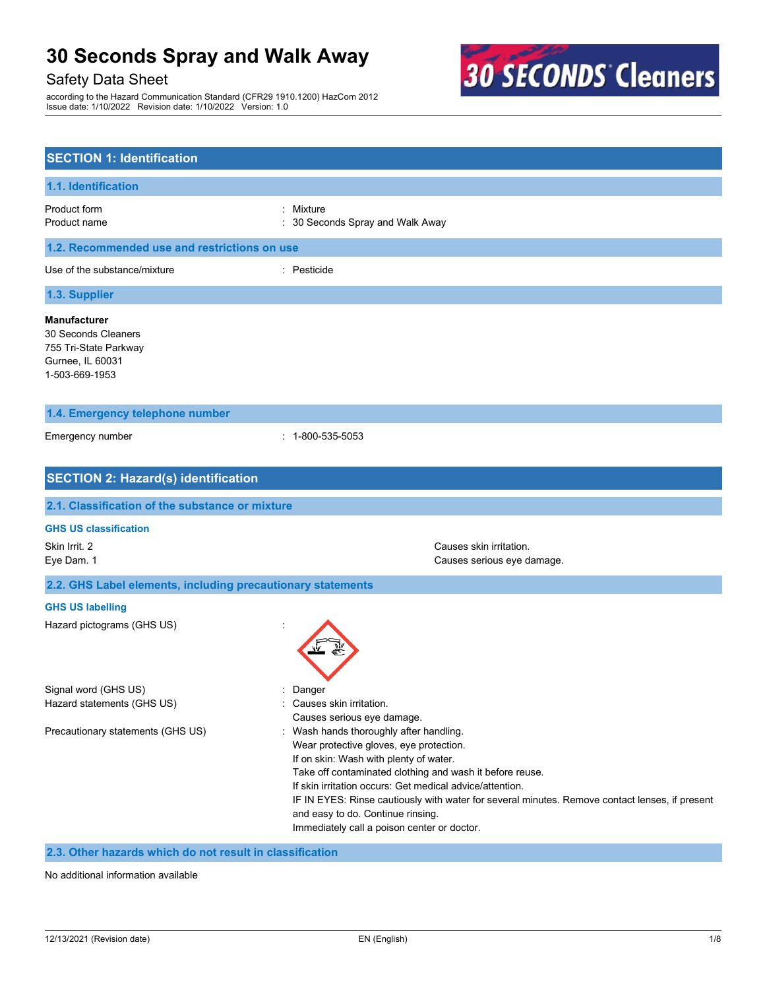### Safety Data Sheet

according to the Hazard Communication Standard (CFR29 1910.1200) HazCom 2012 Issue date: 1/10/2022 Revision date: 1/10/2022 Version: 1.0



| <b>SECTION 1: Identification</b>                                                                          |                                                                                                                                                                                                                                                                                                                                                                                                                                            |  |
|-----------------------------------------------------------------------------------------------------------|--------------------------------------------------------------------------------------------------------------------------------------------------------------------------------------------------------------------------------------------------------------------------------------------------------------------------------------------------------------------------------------------------------------------------------------------|--|
| 1.1. Identification                                                                                       |                                                                                                                                                                                                                                                                                                                                                                                                                                            |  |
| Product form<br>Product name                                                                              | Mixture<br>30 Seconds Spray and Walk Away                                                                                                                                                                                                                                                                                                                                                                                                  |  |
| 1.2. Recommended use and restrictions on use                                                              |                                                                                                                                                                                                                                                                                                                                                                                                                                            |  |
| Use of the substance/mixture                                                                              | : Pesticide                                                                                                                                                                                                                                                                                                                                                                                                                                |  |
| 1.3. Supplier                                                                                             |                                                                                                                                                                                                                                                                                                                                                                                                                                            |  |
| <b>Manufacturer</b><br>30 Seconds Cleaners<br>755 Tri-State Parkway<br>Gurnee, IL 60031<br>1-503-669-1953 |                                                                                                                                                                                                                                                                                                                                                                                                                                            |  |
| 1.4. Emergency telephone number                                                                           |                                                                                                                                                                                                                                                                                                                                                                                                                                            |  |
| Emergency number                                                                                          | $: 1 - 800 - 535 - 5053$                                                                                                                                                                                                                                                                                                                                                                                                                   |  |
| <b>SECTION 2: Hazard(s) identification</b>                                                                |                                                                                                                                                                                                                                                                                                                                                                                                                                            |  |
| 2.1. Classification of the substance or mixture                                                           |                                                                                                                                                                                                                                                                                                                                                                                                                                            |  |
| <b>GHS US classification</b>                                                                              |                                                                                                                                                                                                                                                                                                                                                                                                                                            |  |
| Skin Irrit. 2<br>Eye Dam. 1                                                                               | Causes skin irritation.<br>Causes serious eye damage.                                                                                                                                                                                                                                                                                                                                                                                      |  |
| 2.2. GHS Label elements, including precautionary statements                                               |                                                                                                                                                                                                                                                                                                                                                                                                                                            |  |
| <b>GHS US labelling</b>                                                                                   |                                                                                                                                                                                                                                                                                                                                                                                                                                            |  |
| Hazard pictograms (GHS US)                                                                                |                                                                                                                                                                                                                                                                                                                                                                                                                                            |  |
| Signal word (GHS US)<br>Hazard statements (GHS US)                                                        | Danger<br>Causes skin irritation.<br>Causes serious eye damage.                                                                                                                                                                                                                                                                                                                                                                            |  |
| Precautionary statements (GHS US)                                                                         | : Wash hands thoroughly after handling.<br>Wear protective gloves, eye protection.<br>If on skin: Wash with plenty of water.<br>Take off contaminated clothing and wash it before reuse.<br>If skin irritation occurs: Get medical advice/attention.<br>IF IN EYES: Rinse cautiously with water for several minutes. Remove contact lenses, if present<br>and easy to do. Continue rinsing.<br>Immediately call a poison center or doctor. |  |

### **2.3. Other hazards which do not result in classification**

No additional information available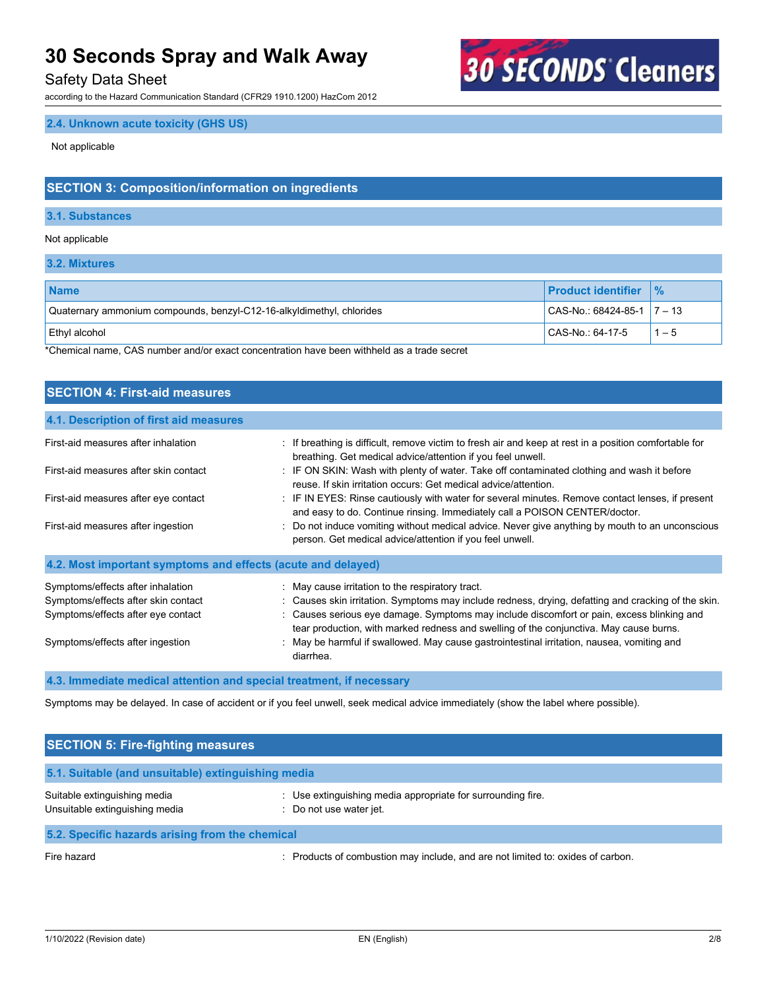### Safety Data Sheet

according to the Hazard Communication Standard (CFR29 1910.1200) HazCom 2012

### **2.4. Unknown acute toxicity (GHS US)**

Not applicable

### **SECTION 3: Composition/information on ingredients**

#### **3.1. Substances**

#### Not applicable

**3.2. Mixtures**

| <b>Name</b>                                                           | <b>Product identifier</b>          | $\frac{9}{6}$ |
|-----------------------------------------------------------------------|------------------------------------|---------------|
| Quaternary ammonium compounds, benzyl-C12-16-alkyldimethyl, chlorides | $ $ CAS-No.: 68424-85-1 $ $ 7 – 13 |               |
| <b>Ethyl alcohol</b>                                                  | CAS-No.: 64-17-5                   | $-5$          |

**30 SECONDS Cleaners** 

\*Chemical name, CAS number and/or exact concentration have been withheld as a trade secret

### **SECTION 4: First-aid measures 4.1. Description of first aid measures** First-aid measures after inhalation **in the act as a state of the atticult** remove victim to fresh air and keep at rest in a position comfortable for breathing. Get medical advice/attention if you feel unwell. First-aid measures after skin contact : IF ON SKIN: Wash with plenty of water. Take off contaminated clothing and wash it before reuse. If skin irritation occurs: Get medical advice/attention. First-aid measures after eye contact : IF IN EYES: Rinse cautiously with water for several minutes. Remove contact lenses, if present and easy to do. Continue rinsing. Immediately call a POISON CENTER/doctor. First-aid measures after ingestion **inter the CO and Traing without medical** advice. Never give anything by mouth to an unconscious person. Get medical advice/attention if you feel unwell. **4.2. Most important symptoms and effects (acute and delayed)** Symptoms/effects after inhalation : May cause irritation to the respiratory tract. Symptoms/effects after skin contact : Causes skin irritation. Symptoms may include redness, drying, defatting and cracking of the skin. Symptoms/effects after eye contact : Causes serious eye damage. Symptoms may include discomfort or pain, excess blinking and tear production, with marked redness and swelling of the conjunctiva. May cause burns. Symptoms/effects after ingestion : May be harmful if swallowed. May cause gastrointestinal irritation, nausea, vomiting and diarrhea. **4.3. Immediate medical attention and special treatment, if necessary**

Symptoms may be delayed. In case of accident or if you feel unwell, seek medical advice immediately (show the label where possible).

| <b>SECTION 5: Fire-fighting measures</b>                       |                                                                                                          |  |
|----------------------------------------------------------------|----------------------------------------------------------------------------------------------------------|--|
| 5.1. Suitable (and unsuitable) extinguishing media             |                                                                                                          |  |
| Suitable extinguishing media<br>Unsuitable extinguishing media | : Use extinguishing media appropriate for surrounding fire.<br>: Do not use water jet.                   |  |
| 5.2. Specific hazards arising from the chemical                |                                                                                                          |  |
| The kamakal                                                    | . Dog drug by a great constitution of the studies of the state of the state of the state of the state of |  |

Fire hazard **include in the same of combustion may include**, and are not limited to: oxides of carbon.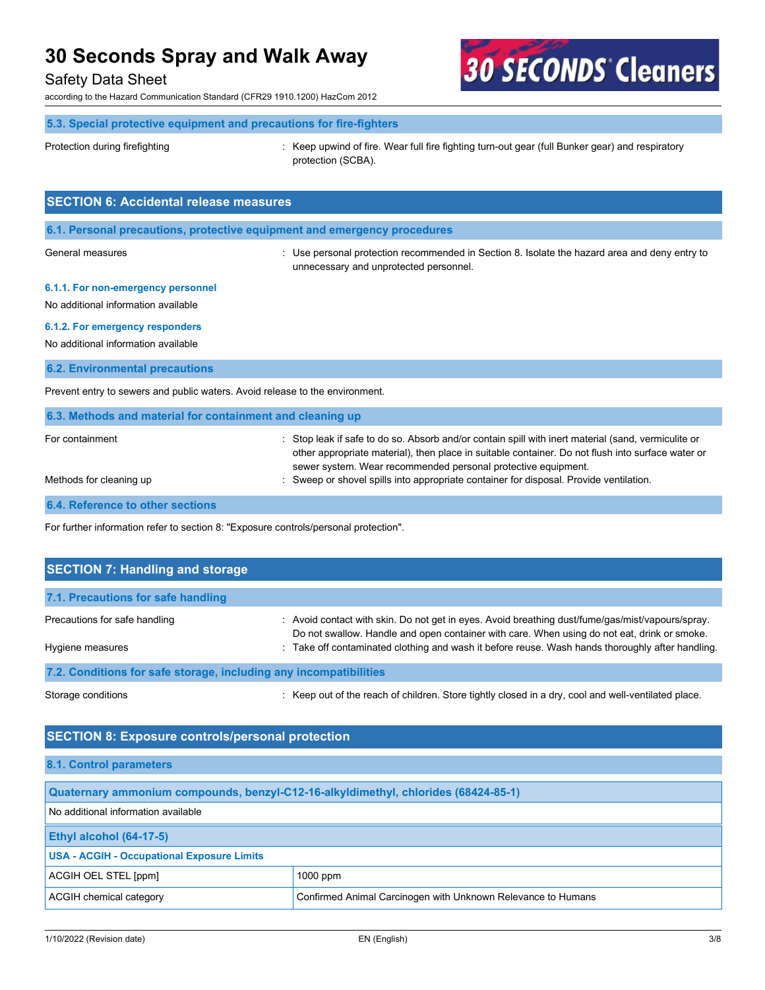### Safety Data Sheet

according to the Hazard Communication Standard (CFR29 1910.1200) HazCom 2012

# **30 SECONDS Cleaners**

### **5.3. Special protective equipment and precautions for fire-fighters**

Protection during firefighting exception of the experiment of fire. Wear full fire fighting turn-out gear (full Bunker gear) and respiratory protection (SCBA).

| <b>SECTION 6: Accidental release measures</b>                                |                                                                                                                                                                                                                                                                         |  |  |
|------------------------------------------------------------------------------|-------------------------------------------------------------------------------------------------------------------------------------------------------------------------------------------------------------------------------------------------------------------------|--|--|
| 6.1. Personal precautions, protective equipment and emergency procedures     |                                                                                                                                                                                                                                                                         |  |  |
| General measures                                                             | : Use personal protection recommended in Section 8. Isolate the hazard area and deny entry to<br>unnecessary and unprotected personnel.                                                                                                                                 |  |  |
| 6.1.1. For non-emergency personnel<br>No additional information available    |                                                                                                                                                                                                                                                                         |  |  |
| 6.1.2. For emergency responders                                              |                                                                                                                                                                                                                                                                         |  |  |
| No additional information available                                          |                                                                                                                                                                                                                                                                         |  |  |
| <b>6.2. Environmental precautions</b>                                        |                                                                                                                                                                                                                                                                         |  |  |
| Prevent entry to sewers and public waters. Avoid release to the environment. |                                                                                                                                                                                                                                                                         |  |  |
| 6.3. Methods and material for containment and cleaning up                    |                                                                                                                                                                                                                                                                         |  |  |
| For containment                                                              | Stop leak if safe to do so. Absorb and/or contain spill with inert material (sand, vermiculite or<br>other appropriate material), then place in suitable container. Do not flush into surface water or<br>sewer system. Wear recommended personal protective equipment. |  |  |
| Methods for cleaning up                                                      | Sweep or shovel spills into appropriate container for disposal. Provide ventilation.                                                                                                                                                                                    |  |  |
| 6.4. Reference to other sections                                             |                                                                                                                                                                                                                                                                         |  |  |

For further information refer to section 8: "Exposure controls/personal protection".

| <b>SECTION 7: Handling and storage</b>                                                                                                      |                                                                                                                                                                                                                                                                                                     |
|---------------------------------------------------------------------------------------------------------------------------------------------|-----------------------------------------------------------------------------------------------------------------------------------------------------------------------------------------------------------------------------------------------------------------------------------------------------|
| 7.1. Precautions for safe handling                                                                                                          |                                                                                                                                                                                                                                                                                                     |
| Precautions for safe handling<br>Hygiene measures                                                                                           | : Avoid contact with skin. Do not get in eyes. Avoid breathing dust/fume/gas/mist/vapours/spray.<br>Do not swallow. Handle and open container with care. When using do not eat, drink or smoke.<br>: Take off contaminated clothing and wash it before reuse. Wash hands thoroughly after handling. |
| 7.2. Conditions for safe storage, including any incompatibilities                                                                           |                                                                                                                                                                                                                                                                                                     |
| $\bigcap_{i=1}^{n}$ and $\bigcap_{i=1}^{n}$ and $\bigcap_{i=1}^{n}$ and $\bigcap_{i=1}^{n}$ and $\bigcap_{i=1}^{n}$ and $\bigcap_{i=1}^{n}$ | n a 17 choir na bhfuil i bhonail na bhliainn a ∩uann aighdain na bhean aigh an choir na chonnail an cuidhean a bhean                                                                                                                                                                                |

Storage conditions **interpret of the reach of children.** Store tightly closed in a dry, cool and well-ventilated place.

### **SECTION 8: Exposure controls/personal protection**

#### **8.1. Control parameters**

| Quaternary ammonium compounds, benzyl-C12-16-alkyldimethyl, chlorides (68424-85-1)      |            |  |
|-----------------------------------------------------------------------------------------|------------|--|
| No additional information available                                                     |            |  |
| <b>Ethyl alcohol (64-17-5)</b>                                                          |            |  |
| <b>USA - ACGIH - Occupational Exposure Limits</b>                                       |            |  |
| ACGIH OEL STEL [ppm]                                                                    | $1000$ ppm |  |
| ACGIH chemical category<br>Confirmed Animal Carcinogen with Unknown Relevance to Humans |            |  |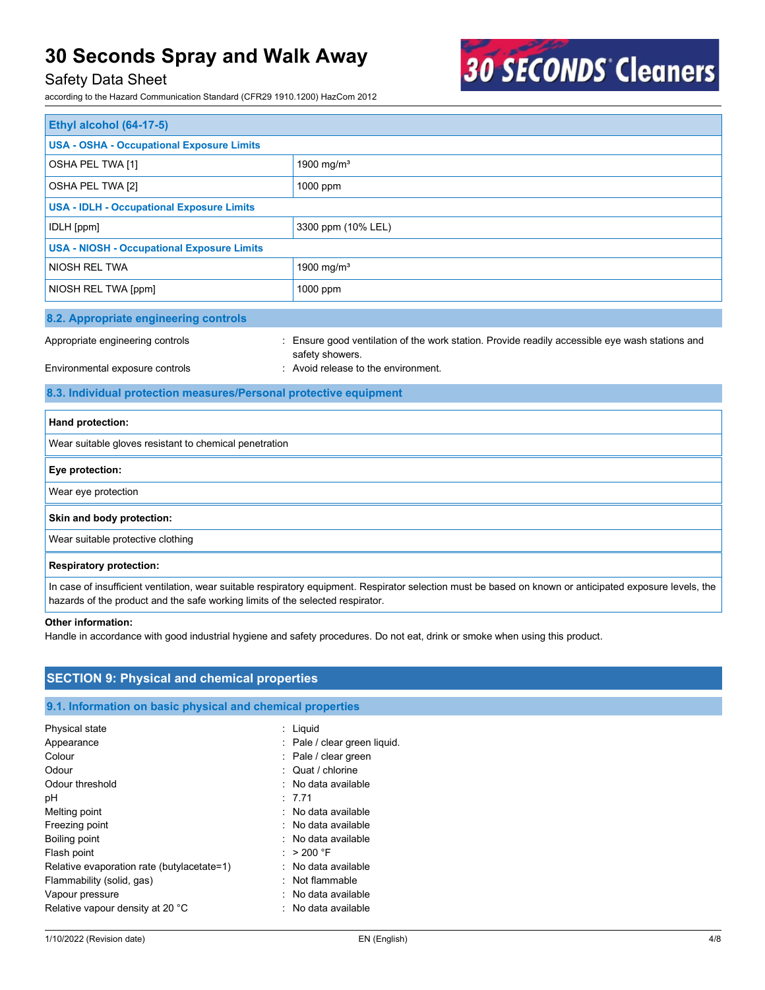### Safety Data Sheet

according to the Hazard Communication Standard (CFR29 1910.1200) HazCom 2012



| <b>Ethyl alcohol (64-17-5)</b>                    |                        |  |
|---------------------------------------------------|------------------------|--|
| <b>USA - OSHA - Occupational Exposure Limits</b>  |                        |  |
| OSHA PEL TWA [1]                                  | 1900 mg/m <sup>3</sup> |  |
| OSHA PEL TWA [2]                                  | 1000 ppm               |  |
| <b>USA - IDLH - Occupational Exposure Limits</b>  |                        |  |
| IDLH [ppm]                                        | 3300 ppm (10% LEL)     |  |
| <b>USA - NIOSH - Occupational Exposure Limits</b> |                        |  |
| <b>NIOSH REL TWA</b>                              | 1900 mg/m <sup>3</sup> |  |
| NIOSH REL TWA [ppm]                               | 1000 ppm               |  |
| 8.2. Appropriate engineering controls             |                        |  |

Appropriate engineering controls : Ensure good ventilation of the work station. Provide readily accessible eye wash stations and safety showers.

### Environmental exposure controls **Environment**. Avoid release to the environment.

### **8.3. Individual protection measures/Personal protective equipment**

| Hand protection:                                       |
|--------------------------------------------------------|
| Wear suitable gloves resistant to chemical penetration |
| Eye protection:                                        |
| Wear eye protection                                    |
| Skin and body protection:                              |
| Wear suitable protective clothing                      |
| <b>Respiratory protection:</b>                         |

In case of insufficient ventilation, wear suitable respiratory equipment. Respirator selection must be based on known or anticipated exposure levels, the hazards of the product and the safe working limits of the selected respirator.

#### **Other information:**

Handle in accordance with good industrial hygiene and safety procedures. Do not eat, drink or smoke when using this product.

### **SECTION 9: Physical and chemical properties**

### **9.1. Information on basic physical and chemical properties**

| Physical state                             | Liquid                         |
|--------------------------------------------|--------------------------------|
| Appearance                                 | : Pale / clear green liquid.   |
| Colour                                     | $:$ Pale / clear green         |
| Odour                                      | $\therefore$ Quat / chlorine   |
| Odour threshold                            | No data available              |
| рH                                         | : 7.71                         |
| Melting point                              | : No data available            |
| Freezing point                             | $\therefore$ No data available |
| Boiling point                              | : No data available            |
| Flash point                                | > 200 °F                       |
| Relative evaporation rate (butylacetate=1) | : No data available            |
| Flammability (solid, gas)                  | : Not flammable                |
| Vapour pressure                            | No data available              |
| Relative vapour density at 20 °C           | : No data available            |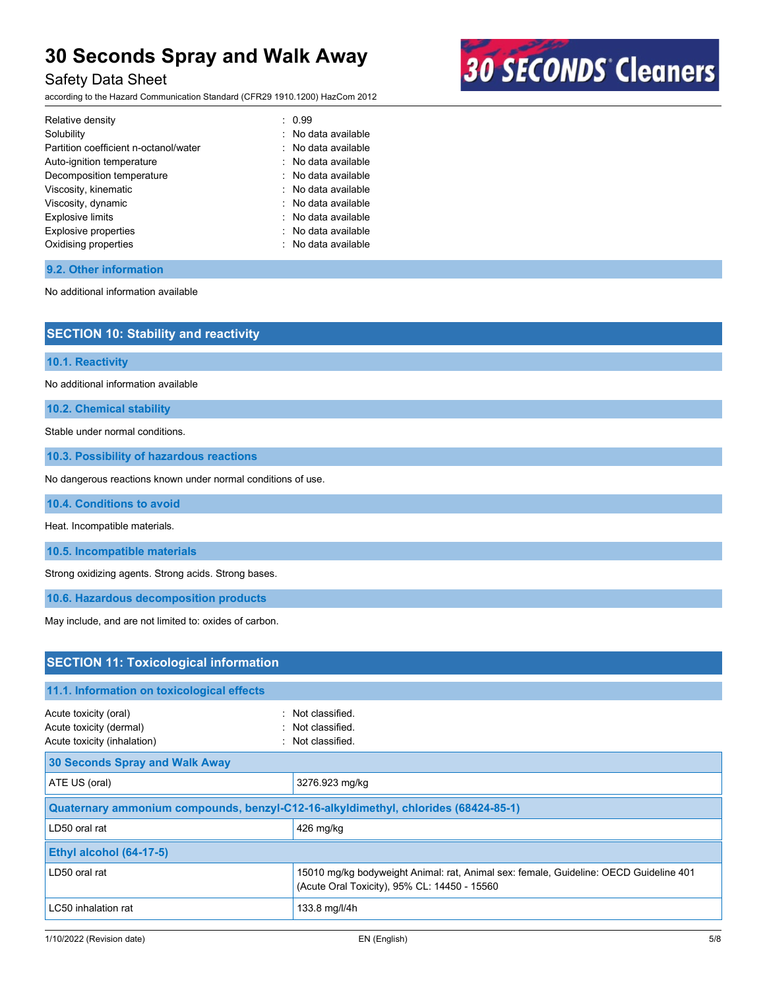### Safety Data Sheet

according to the Hazard Communication Standard (CFR29 1910.1200) HazCom 2012



| Relative density                      | : 0.99                         |
|---------------------------------------|--------------------------------|
| Solubility                            | : No data available            |
| Partition coefficient n-octanol/water | : No data available            |
| Auto-ignition temperature             | : No data available            |
| Decomposition temperature             | $\therefore$ No data available |
| Viscosity, kinematic                  | : No data available            |
| Viscosity, dynamic                    | : No data available            |
| <b>Explosive limits</b>               | : No data available            |
| <b>Explosive properties</b>           | : No data available            |
| Oxidising properties                  | : No data available            |

### **9.2. Other information**

No additional information available

| <b>SECTION 10: Stability and reactivity</b>                                        |                 |  |
|------------------------------------------------------------------------------------|-----------------|--|
| 10.1. Reactivity                                                                   |                 |  |
| No additional information available                                                |                 |  |
| 10.2. Chemical stability                                                           |                 |  |
| Stable under normal conditions.                                                    |                 |  |
| 10.3. Possibility of hazardous reactions                                           |                 |  |
| No dangerous reactions known under normal conditions of use.                       |                 |  |
| 10.4. Conditions to avoid                                                          |                 |  |
| Heat. Incompatible materials.                                                      |                 |  |
| 10.5. Incompatible materials                                                       |                 |  |
| Strong oxidizing agents. Strong acids. Strong bases.                               |                 |  |
| 10.6. Hazardous decomposition products                                             |                 |  |
| May include, and are not limited to: oxides of carbon.                             |                 |  |
|                                                                                    |                 |  |
| <b>SECTION 11: Toxicological information</b>                                       |                 |  |
| 11.1. Information on toxicological effects                                         |                 |  |
| Acute toxicity (oral)                                                              | Not classified. |  |
| Acute toxicity (dermal)                                                            | Not classified. |  |
| Acute toxicity (inhalation)                                                        | Not classified. |  |
| <b>30 Seconds Spray and Walk Away</b>                                              |                 |  |
| ATE US (oral)                                                                      | 3276.923 mg/kg  |  |
| Quaternary ammonium compounds, benzyl-C12-16-alkyldimethyl, chlorides (68424-85-1) |                 |  |
| LD50 oral rat                                                                      | 426 mg/kg       |  |
| Ethyl alcohol (64-17-5)                                                            |                 |  |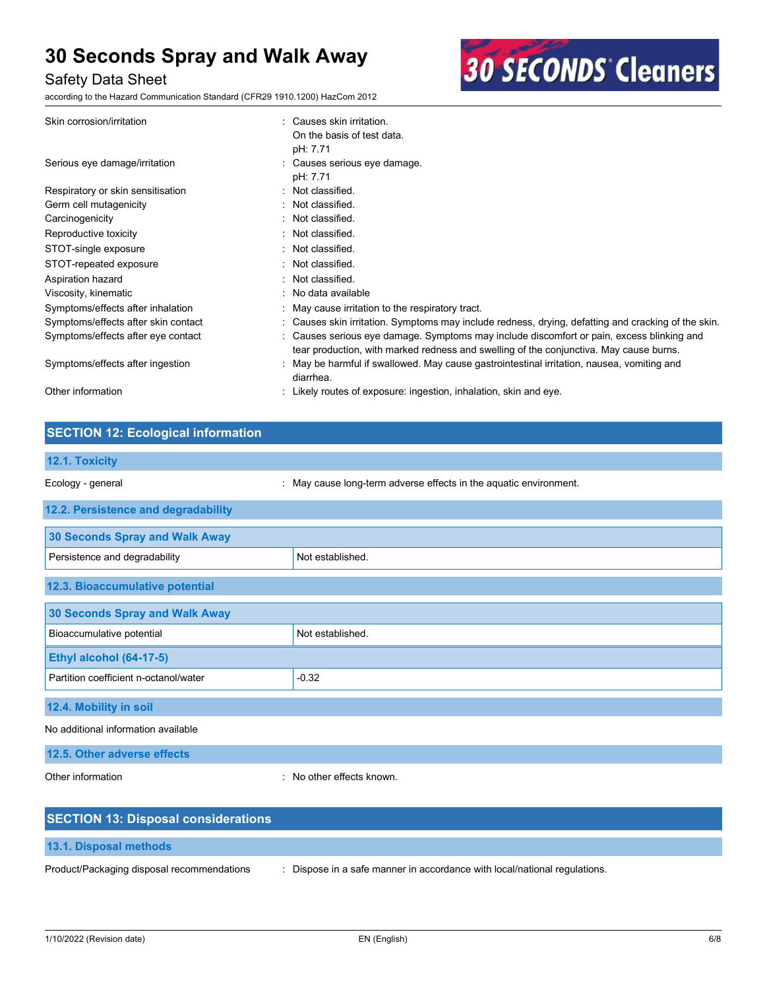### Safety Data Sheet

according to the Hazard Communication Standard (CFR29 1910.1200) HazCom 2012



| Skin corrosion/irritation           | Causes skin irritation.                                                                             |
|-------------------------------------|-----------------------------------------------------------------------------------------------------|
|                                     | On the basis of test data.                                                                          |
|                                     | pH: 7.71                                                                                            |
| Serious eye damage/irritation       | : Causes serious eye damage.                                                                        |
|                                     | pH: 7.71                                                                                            |
| Respiratory or skin sensitisation   | Not classified.                                                                                     |
| Germ cell mutagenicity              | Not classified.                                                                                     |
| Carcinogenicity                     | : Not classified.                                                                                   |
| Reproductive toxicity               | : Not classified.                                                                                   |
| STOT-single exposure                | Not classified.                                                                                     |
| STOT-repeated exposure              | Not classified.                                                                                     |
| Aspiration hazard                   | Not classified.                                                                                     |
| Viscosity, kinematic                | : No data available                                                                                 |
| Symptoms/effects after inhalation   | : May cause irritation to the respiratory tract.                                                    |
| Symptoms/effects after skin contact | : Causes skin irritation. Symptoms may include redness, drying, defatting and cracking of the skin. |
| Symptoms/effects after eye contact  | Causes serious eye damage. Symptoms may include discomfort or pain, excess blinking and             |
|                                     | tear production, with marked redness and swelling of the conjunctiva. May cause burns.              |
| Symptoms/effects after ingestion    | May be harmful if swallowed. May cause gastrointestinal irritation, nausea, vomiting and            |
|                                     | diarrhea.                                                                                           |
| Other information                   | Likely routes of exposure: ingestion, inhalation, skin and eye.                                     |
|                                     |                                                                                                     |

### **SECTION 12: Ecological information**

| 12.1. Toxicity                        |                                                                   |
|---------------------------------------|-------------------------------------------------------------------|
| Ecology - general                     | : May cause long-term adverse effects in the aquatic environment. |
| 12.2. Persistence and degradability   |                                                                   |
| <b>30 Seconds Spray and Walk Away</b> |                                                                   |
| Persistence and degradability         | Not established.                                                  |
| 12.3. Bioaccumulative potential       |                                                                   |
| <b>30 Seconds Spray and Walk Away</b> |                                                                   |
| Bioaccumulative potential             | Not established.                                                  |
| Ethyl alcohol (64-17-5)               |                                                                   |
| Partition coefficient n-octanol/water | $-0.32$                                                           |
| 12.4. Mobility in soil                |                                                                   |
| No additional information available   |                                                                   |
| 12.5. Other adverse effects           |                                                                   |

Other information **interest in the contract of the CO** interest and the No other effects known.

| <b>SECTION 13: Disposal considerations</b> |                                                                           |
|--------------------------------------------|---------------------------------------------------------------------------|
| 13.1. Disposal methods                     |                                                                           |
| Product/Packaging disposal recommendations | : Dispose in a safe manner in accordance with local/national regulations. |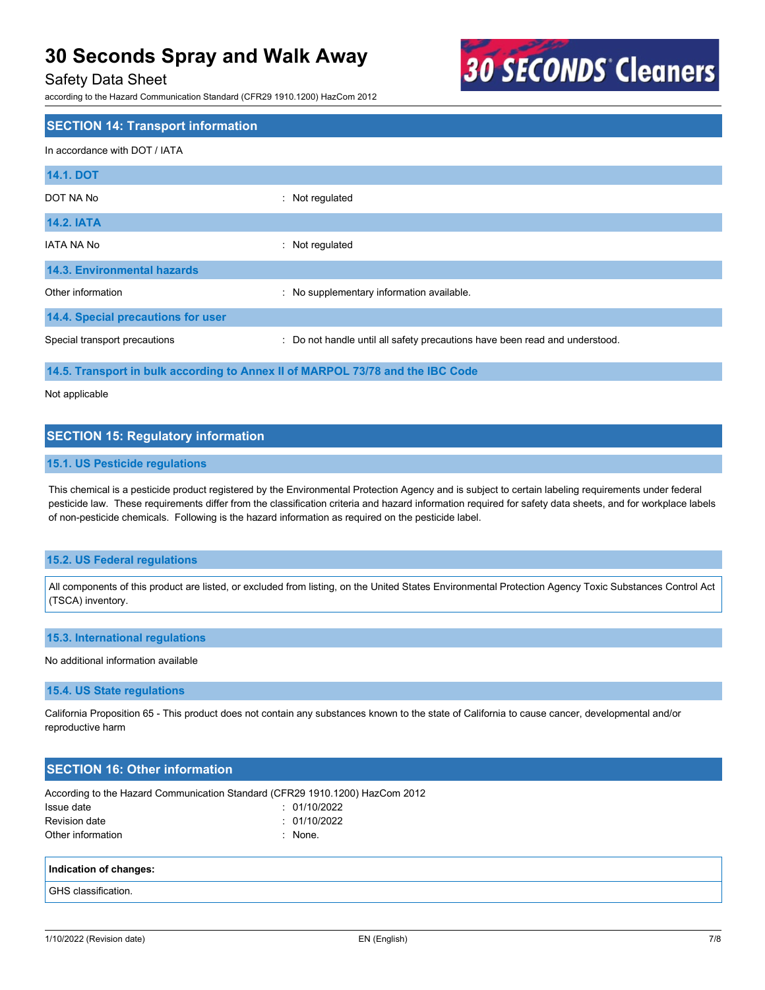### Safety Data Sheet

according to the Hazard Communication Standard (CFR29 1910.1200) HazCom 2012



### **SECTION 14: Transport information** In accordance with DOT / IATA **14.1. DOT** DOT NA No : Not regulated **14.2. IATA** IATA NA No : Not regulated **14.3. Environmental hazards** Other information **contains the information information available.** No supplementary information available. **14.4. Special precautions for user** Special transport precautions : Do not handle until all safety precautions have been read and understood. **14.5. Transport in bulk according to Annex II of MARPOL 73/78 and the IBC Code**

Not applicable

### **SECTION 15: Regulatory information**

### **15.1. US Pesticide regulations**

This chemical is a pesticide product registered by the Environmental Protection Agency and is subject to certain labeling requirements under federal pesticide law. These requirements differ from the classification criteria and hazard information required for safety data sheets, and for workplace labels of non-pesticide chemicals. Following is the hazard information as required on the pesticide label.

### **15.2. US Federal regulations**

All components of this product are listed, or excluded from listing, on the United States Environmental Protection Agency Toxic Substances Control Act (TSCA) inventory.

### **15.3. International regulations**

#### No additional information available

#### **15.4. US State regulations**

California Proposition 65 - This product does not contain any substances known to the state of California to cause cancer, developmental and/or reproductive harm

### **SECTION 16: Other information**

| According to the Hazard Communication Standard (CFR29 1910.1200) HazCom 2012 |  |  |
|------------------------------------------------------------------------------|--|--|
|------------------------------------------------------------------------------|--|--|

| Issue date        | : 01/10/2022 |
|-------------------|--------------|
| Revision date     | : 01/10/2022 |
| Other information | : None.      |

#### **Indication of changes:**

GHS classification.